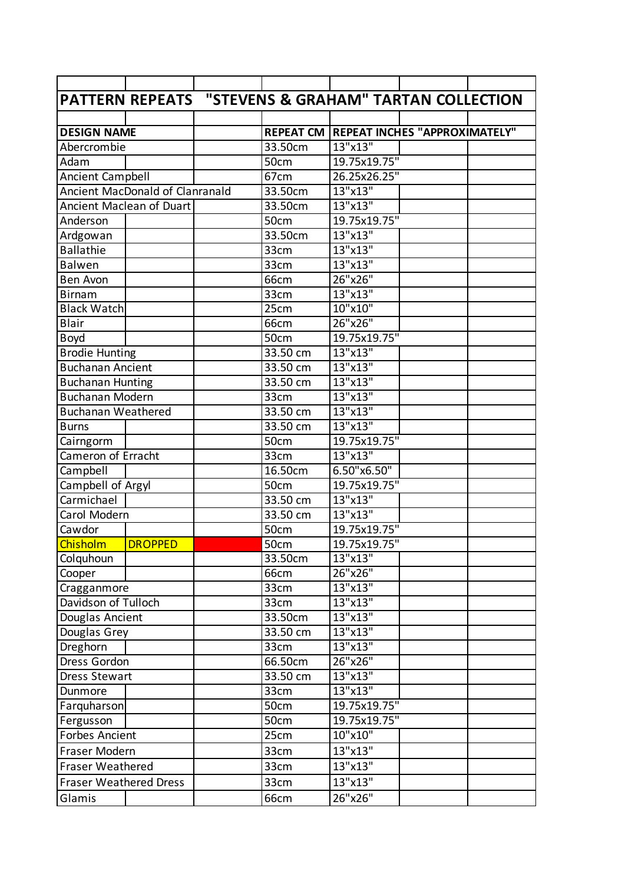|                               | PATTERN REPEATS "STEVENS & GRAHAM" TARTAN COLLECTION |      |          |                                                |  |
|-------------------------------|------------------------------------------------------|------|----------|------------------------------------------------|--|
|                               |                                                      |      |          |                                                |  |
| <b>DESIGN NAME</b>            |                                                      |      |          | <b>REPEAT CM REPEAT INCHES "APPROXIMATELY"</b> |  |
| Abercrombie                   |                                                      |      | 33.50cm  | 13"x13"                                        |  |
| Adam                          |                                                      |      | 50cm     | 19.75x19.75"                                   |  |
| <b>Ancient Campbell</b>       |                                                      |      | 67cm     | 26.25x26.25"                                   |  |
|                               | Ancient MacDonald of Clanranald                      |      | 33.50cm  | 13"x13"                                        |  |
|                               | Ancient Maclean of Duart                             |      | 33.50cm  | 13"x13"                                        |  |
| Anderson                      |                                                      |      | 50cm     | 19.75x19.75"                                   |  |
| Ardgowan                      |                                                      |      | 33.50cm  | 13"x13"                                        |  |
| <b>Ballathie</b>              |                                                      |      | 33cm     | 13"x13"                                        |  |
| <b>Balwen</b>                 |                                                      |      | 33cm     | 13"x13"                                        |  |
| <b>Ben Avon</b>               |                                                      |      | 66cm     | 26"x26"                                        |  |
| <b>Birnam</b>                 |                                                      |      | 33cm     | 13"x13"                                        |  |
| <b>Black Watch</b>            |                                                      |      | 25cm     | 10"x10"                                        |  |
| <b>Blair</b>                  |                                                      |      | 66cm     | 26"x26"                                        |  |
| <b>Boyd</b>                   |                                                      |      | 50cm     | 19.75x19.75"                                   |  |
| <b>Brodie Hunting</b>         |                                                      |      | 33.50 cm | 13"x13"                                        |  |
| <b>Buchanan Ancient</b>       |                                                      |      | 33.50 cm | 13"x13"                                        |  |
| <b>Buchanan Hunting</b>       |                                                      |      | 33.50 cm | 13"x13"                                        |  |
| <b>Buchanan Modern</b>        |                                                      |      | 33cm     | 13"x13"                                        |  |
| <b>Buchanan Weathered</b>     |                                                      |      | 33.50 cm | 13"x13"                                        |  |
| <b>Burns</b>                  |                                                      |      | 33.50 cm | 13"x13"                                        |  |
| Cairngorm                     |                                                      |      | 50cm     | 19.75x19.75"                                   |  |
| Cameron of Erracht            |                                                      |      | 33cm     | 13"x13"                                        |  |
| Campbell                      |                                                      |      | 16.50cm  | 6.50"x6.50"                                    |  |
| Campbell of Argyl             |                                                      |      | 50cm     | 19.75x19.75"                                   |  |
| Carmichael                    |                                                      |      | 33.50 cm | 13"x13"                                        |  |
| Carol Modern                  |                                                      |      | 33.50 cm | 13"x13"                                        |  |
| Cawdor                        |                                                      |      | 50cm     | 19.75x19.75"                                   |  |
| Chisholm                      | <b>DROPPED</b>                                       |      | 50cm     | 19.75x19.75"                                   |  |
| Colquhoun                     |                                                      |      | 33.50cm  | 13"x13"                                        |  |
| Cooper                        |                                                      |      | 66cm     | 26"x26"                                        |  |
| Cragganmore                   |                                                      |      | 33cm     | 13"x13"                                        |  |
| Davidson of Tulloch           |                                                      |      | 33cm     | 13"x13"                                        |  |
| Douglas Ancient               |                                                      |      | 33.50cm  | 13"x13"                                        |  |
| Douglas Grey                  |                                                      |      | 33.50 cm | 13"x13"                                        |  |
| Dreghorn                      |                                                      |      | 33cm     | 13"x13"                                        |  |
| Dress Gordon                  |                                                      |      | 66.50cm  | 26"x26"                                        |  |
| Dress Stewart                 |                                                      |      | 33.50 cm | 13"x13"                                        |  |
| Dunmore                       |                                                      |      | 33cm     | 13"x13"                                        |  |
| Farquharson                   |                                                      |      | 50cm     | 19.75x19.75"                                   |  |
| Fergusson                     |                                                      |      | 50cm     | 19.75x19.75"                                   |  |
| Forbes Ancient                |                                                      | 25cm | 10"x10"  |                                                |  |
| Fraser Modern                 |                                                      | 33cm | 13"x13"  |                                                |  |
| <b>Fraser Weathered</b>       |                                                      | 33cm | 13"x13"  |                                                |  |
| <b>Fraser Weathered Dress</b> |                                                      |      | 33cm     | 13"x13"                                        |  |
| Glamis                        |                                                      |      | 66cm     | 26"x26"                                        |  |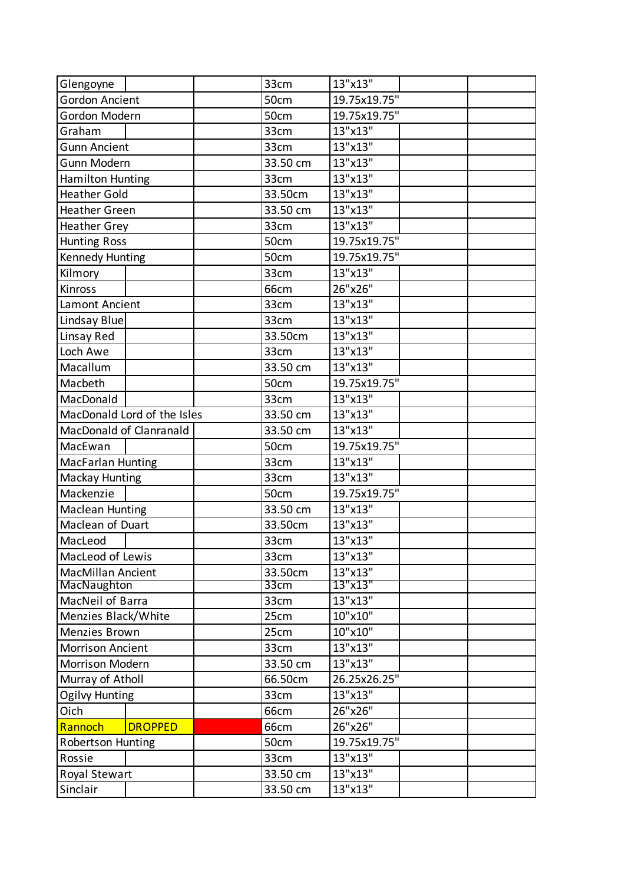| Glengoyne                |                             |          | 33cm         | 13"x13"      |  |
|--------------------------|-----------------------------|----------|--------------|--------------|--|
| <b>Gordon Ancient</b>    |                             |          | 50cm         | 19.75x19.75" |  |
| Gordon Modern            |                             | 50cm     | 19.75x19.75" |              |  |
| Graham                   |                             |          | 33cm         | 13"x13"      |  |
| <b>Gunn Ancient</b>      |                             | 33cm     | 13"x13"      |              |  |
| Gunn Modern              |                             | 33.50 cm | 13"x13"      |              |  |
| Hamilton Hunting         |                             |          | 33cm         | 13"x13"      |  |
| <b>Heather Gold</b>      |                             | 33.50cm  | 13"x13"      |              |  |
| <b>Heather Green</b>     |                             |          | 33.50 cm     | 13"x13"      |  |
| <b>Heather Grey</b>      |                             | 33cm     | 13"x13"      |              |  |
| <b>Hunting Ross</b>      |                             | 50cm     | 19.75x19.75" |              |  |
| Kennedy Hunting          |                             |          | 50cm         | 19.75x19.75" |  |
| Kilmory                  |                             |          | 33cm         | 13"x13"      |  |
| Kinross                  |                             |          | 66cm         | 26"x26"      |  |
| Lamont Ancient           |                             |          | 33cm         | 13"x13"      |  |
| Lindsay Blue             |                             |          | 33cm         | 13"x13"      |  |
| Linsay Red               |                             |          | 33.50cm      | 13"x13"      |  |
| Loch Awe                 |                             |          | 33cm         | 13"x13"      |  |
| Macallum                 |                             |          | 33.50 cm     | 13"x13"      |  |
| Macbeth                  |                             |          | 50cm         | 19.75x19.75" |  |
| MacDonald                |                             |          | 33cm         | 13"x13"      |  |
|                          | MacDonald Lord of the Isles |          | 33.50 cm     | 13"x13"      |  |
| MacDonald of Clanranald  |                             |          | 33.50 cm     | 13"x13"      |  |
| MacEwan                  |                             |          | 50cm         | 19.75x19.75" |  |
| <b>MacFarlan Hunting</b> |                             | 33cm     | 13"x13"      |              |  |
| <b>Mackay Hunting</b>    |                             |          | 33cm         | 13"x13"      |  |
| Mackenzie                |                             |          | 50cm         | 19.75x19.75" |  |
| <b>Maclean Hunting</b>   |                             |          | 33.50 cm     | 13"x13"      |  |
| Maclean of Duart         |                             |          | 33.50cm      | 13"x13"      |  |
| MacLeod                  |                             |          | 33cm         | 13"x13"      |  |
| MacLeod of Lewis         |                             |          | 33cm         | 13"x13"      |  |
| <b>MacMillan Ancient</b> |                             | 33.50cm  | 13"x13"      |              |  |
| MacNaughton              |                             | 33cm     | 13"x13"      |              |  |
| MacNeil of Barra         |                             |          | 33cm         | 13"x13"      |  |
| Menzies Black/White      |                             |          | 25cm         | 10"x10"      |  |
| Menzies Brown            |                             | 25cm     | 10"x10"      |              |  |
| <b>Morrison Ancient</b>  |                             | 33cm     | 13"x13"      |              |  |
| Morrison Modern          |                             | 33.50 cm | 13"x13"      |              |  |
| Murray of Atholl         |                             | 66.50cm  | 26.25x26.25" |              |  |
| <b>Ogilvy Hunting</b>    |                             | 33cm     | 13"x13"      |              |  |
| Oich                     |                             |          | 66cm         | 26"x26"      |  |
| Rannoch                  | <b>DROPPED</b>              |          | 66cm         | 26"x26"      |  |
| <b>Robertson Hunting</b> |                             | 50cm     | 19.75x19.75" |              |  |
| Rossie                   |                             | 33cm     | 13"x13"      |              |  |
| Royal Stewart            |                             |          | 33.50 cm     | 13"x13"      |  |
| Sinclair                 |                             |          | 33.50 cm     | 13"x13"      |  |